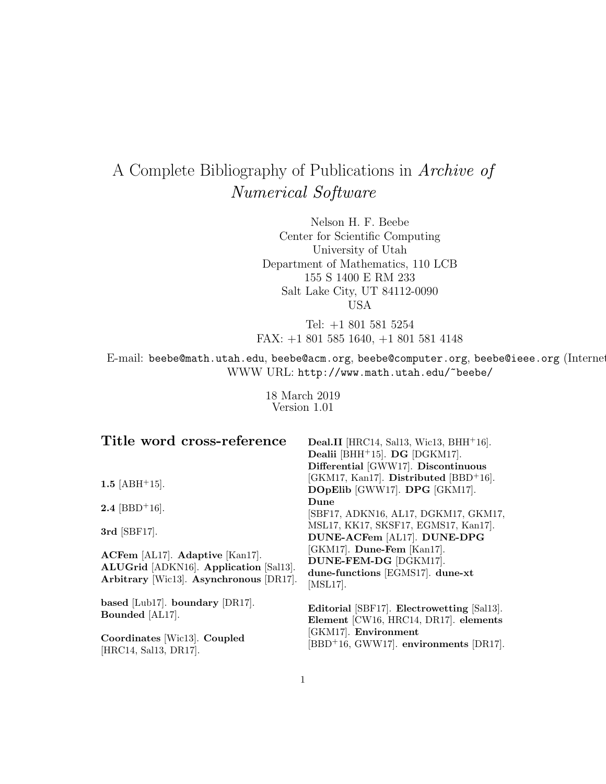# A Complete Bibliography of Publications in Archive of Numerical Software

Nelson H. F. Beebe Center for Scientific Computing University of Utah Department of Mathematics, 110 LCB 155 S 1400 E RM 233 Salt Lake City, UT 84112-0090 USA

Tel: +1 801 581 5254 FAX: +1 801 585 1640, +1 801 581 4148

E-mail: beebe@math.utah.edu, beebe@acm.org, beebe@computer.org, beebe@ieee.org (Internet WWW URL: http://www.math.utah.edu/~beebe/

> 18 March 2019 Version 1.01

| Title word cross-reference                                                                                           | Deal.II [HRC14, Sal13, Wic13, BHH <sup>+</sup> 16].<br>Dealii [BHH <sup>+</sup> 15]. DG [DGKM17].<br>Differential [GWW17]. Discontinuous |
|----------------------------------------------------------------------------------------------------------------------|------------------------------------------------------------------------------------------------------------------------------------------|
| 1.5 $[ABH^+15]$ .                                                                                                    | [GKM17, Kan17]. Distributed [BBD+16].<br>DOpElib [GWW17]. DPG [GKM17].                                                                   |
| <b>2.4</b> [BBD <sup>+</sup> 16].                                                                                    | Dune<br>[SBF17, ADKN16, AL17, DGKM17, GKM17,                                                                                             |
| 3rd [SBF17].                                                                                                         | MSL17, KK17, SKSF17, EGMS17, Kan17.<br>DUNE-ACFem [AL17]. DUNE-DPG                                                                       |
| ACFem [AL17]. Adaptive [Kan17].<br>ALUGrid [ADKN16]. Application [Sal13].<br>Arbitrary [Wic13]. Asynchronous [DR17]. | [GKM17]. Dune-Fem [Kan17].<br>DUNE-FEM-DG [DGKM17].<br>dune-functions [EGMS17]. dune-xt<br>$[MSL17]$ .                                   |
| based [Lub17]. boundary [DR17].<br>Bounded [AL17].                                                                   | Editorial [SBF17]. Electrowetting [Sal13].<br>Element [CW16, HRC14, DR17]. elements                                                      |
| Coordinates [Wic13]. Coupled<br>[HRC14, Sal13, DR17].                                                                | [GKM17]. Environment<br>[BBD <sup>+</sup> 16, GWW17]. environments [DR17].                                                               |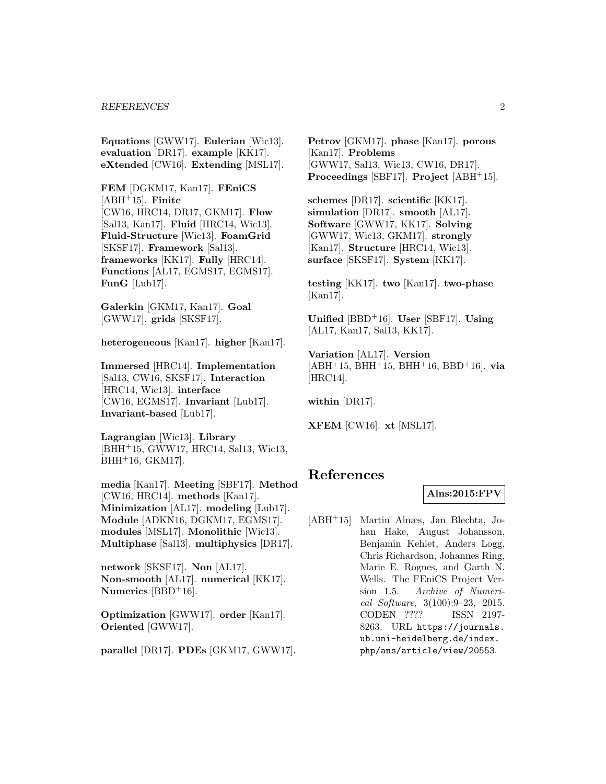**Equations** [GWW17]. **Eulerian** [Wic13]. **evaluation** [DR17]. **example** [KK17]. **eXtended** [CW16]. **Extending** [MSL17].

**FEM** [DGKM17, Kan17]. **FEniCS** [ABH<sup>+</sup>15]. **Finite** [CW16, HRC14, DR17, GKM17]. **Flow** [Sal13, Kan17]. **Fluid** [HRC14, Wic13]. **Fluid-Structure** [Wic13]. **FoamGrid** [SKSF17]. **Framework** [Sal13]. **frameworks** [KK17]. **Fully** [HRC14]. **Functions** [AL17, EGMS17, EGMS17]. **FunG** [Lub17].

**Galerkin** [GKM17, Kan17]. **Goal** [GWW17]. **grids** [SKSF17].

**heterogeneous** [Kan17]. **higher** [Kan17].

**Immersed** [HRC14]. **Implementation** [Sal13, CW16, SKSF17]. **Interaction** [HRC14, Wic13]. **interface** [CW16, EGMS17]. **Invariant** [Lub17]. **Invariant-based** [Lub17].

**Lagrangian** [Wic13]. **Library** [BHH<sup>+</sup>15, GWW17, HRC14, Sal13, Wic13, BHH<sup>+</sup>16, GKM17].

**media** [Kan17]. **Meeting** [SBF17]. **Method** [CW16, HRC14]. **methods** [Kan17]. **Minimization** [AL17]. **modeling** [Lub17]. **Module** [ADKN16, DGKM17, EGMS17]. **modules** [MSL17]. **Monolithic** [Wic13]. **Multiphase** [Sal13]. **multiphysics** [DR17].

**network** [SKSF17]. **Non** [AL17]. **Non-smooth** [AL17]. **numerical** [KK17]. **Numerics** [BBD<sup>+</sup>16].

**Optimization** [GWW17]. **order** [Kan17]. **Oriented** [GWW17].

**parallel** [DR17]. **PDEs** [GKM17, GWW17].

**Petrov** [GKM17]. **phase** [Kan17]. **porous** [Kan17]. **Problems** [GWW17, Sal13, Wic13, CW16, DR17]. **Proceedings** [SBF17]. **Project** [ABH<sup>+</sup>15].

**schemes** [DR17]. **scientific** [KK17]. **simulation** [DR17]. **smooth** [AL17]. **Software** [GWW17, KK17]. **Solving** [GWW17, Wic13, GKM17]. **strongly** [Kan17]. **Structure** [HRC14, Wic13]. **surface** [SKSF17]. **System** [KK17].

**testing** [KK17]. **two** [Kan17]. **two-phase** [Kan17].

**Unified** [BBD<sup>+</sup>16]. **User** [SBF17]. **Using** [AL17, Kan17, Sal13, KK17].

**Variation** [AL17]. **Version** [ABH<sup>+</sup>15, BHH<sup>+</sup>15, BHH<sup>+</sup>16, BBD<sup>+</sup>16]. **via** [HRC14].

**within** [DR17].

**XFEM** [CW16]. **xt** [MSL17].

# **References**

#### **Alns:2015:FPV**

[ABH<sup>+</sup>15] Martin Alnæs, Jan Blechta, Johan Hake, August Johansson, Benjamin Kehlet, Anders Logg, Chris Richardson, Johannes Ring, Marie E. Rognes, and Garth N. Wells. The FEniCS Project Version 1.5. Archive of Numerical Software, 3(100):9–23, 2015. CODEN ???? ISSN 2197- 8263. URL https://journals. ub.uni-heidelberg.de/index. php/ans/article/view/20553.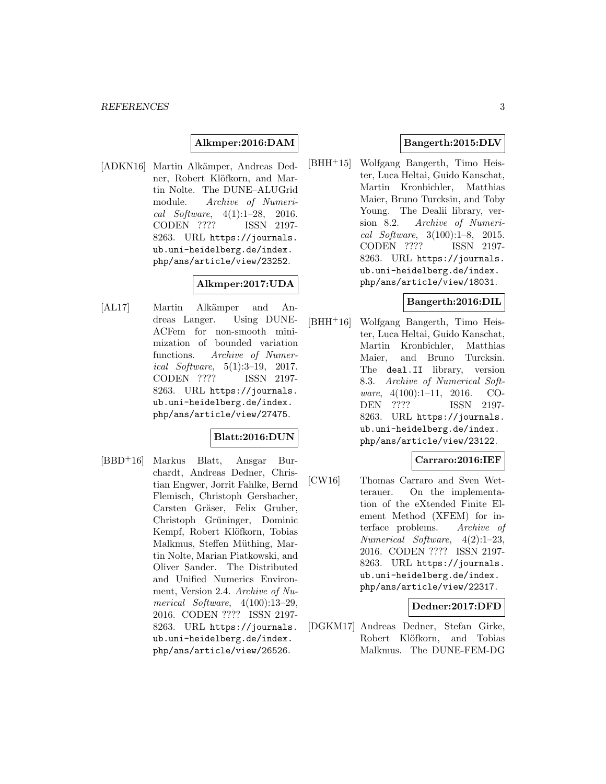## **Alkmper:2016:DAM**

[ADKN16] Martin Alkämper, Andreas Dedner, Robert Klöfkorn, and Martin Nolte. The DUNE–ALUGrid module. Archive of Numerical Software, 4(1):1–28, 2016. CODEN ???? ISSN 2197- 8263. URL https://journals. ub.uni-heidelberg.de/index. php/ans/article/view/23252.

## **Alkmper:2017:UDA**

[AL17] Martin Alkämper and Andreas Langer. Using DUNE-ACFem for non-smooth minimization of bounded variation functions. Archive of Numerical Software, 5(1):3–19, 2017. CODEN ???? ISSN 2197- 8263. URL https://journals. ub.uni-heidelberg.de/index. php/ans/article/view/27475.

#### **Blatt:2016:DUN**

[BBD<sup>+</sup>16] Markus Blatt, Ansgar Burchardt, Andreas Dedner, Christian Engwer, Jorrit Fahlke, Bernd Flemisch, Christoph Gersbacher, Carsten Gräser, Felix Gruber, Christoph Grüninger, Dominic Kempf, Robert Klöfkorn, Tobias Malkmus, Steffen Müthing, Martin Nolte, Marian Piatkowski, and Oliver Sander. The Distributed and Unified Numerics Environment, Version 2.4. Archive of Numerical Software, 4(100):13–29, 2016. CODEN ???? ISSN 2197- 8263. URL https://journals. ub.uni-heidelberg.de/index. php/ans/article/view/26526.

## **Bangerth:2015:DLV**

[BHH<sup>+</sup>15] Wolfgang Bangerth, Timo Heister, Luca Heltai, Guido Kanschat, Martin Kronbichler, Matthias Maier, Bruno Turcksin, and Toby Young. The Dealii library, version 8.2. Archive of Numerical Software, 3(100):1–8, 2015. CODEN ???? ISSN 2197- 8263. URL https://journals. ub.uni-heidelberg.de/index. php/ans/article/view/18031.

#### **Bangerth:2016:DIL**

[BHH<sup>+</sup>16] Wolfgang Bangerth, Timo Heister, Luca Heltai, Guido Kanschat, Martin Kronbichler, Matthias Maier, and Bruno Turcksin. The deal.II library, version 8.3. Archive of Numerical Software, 4(100):1–11, 2016. CO-DEN ???? ISSN 2197- 8263. URL https://journals. ub.uni-heidelberg.de/index. php/ans/article/view/23122.

## **Carraro:2016:IEF**

[CW16] Thomas Carraro and Sven Wetterauer. On the implementation of the eXtended Finite Element Method (XFEM) for interface problems. Archive of Numerical Software, 4(2):1–23, 2016. CODEN ???? ISSN 2197- 8263. URL https://journals. ub.uni-heidelberg.de/index. php/ans/article/view/22317.

#### **Dedner:2017:DFD**

[DGKM17] Andreas Dedner, Stefan Girke, Robert Klöfkorn, and Tobias Malkmus. The DUNE-FEM-DG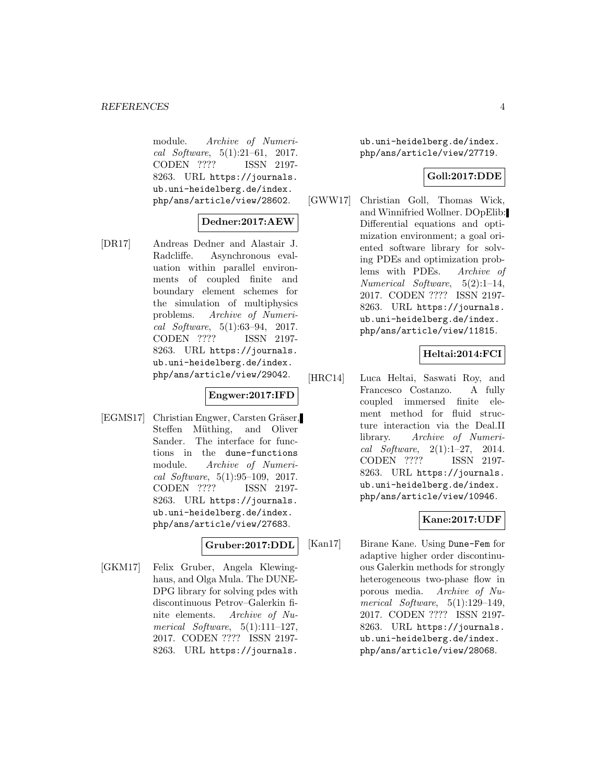module. Archive of Numerical Software, 5(1):21–61, 2017. CODEN ???? ISSN 2197- 8263. URL https://journals. ub.uni-heidelberg.de/index. php/ans/article/view/28602.

## **Dedner:2017:AEW**

[DR17] Andreas Dedner and Alastair J. Radcliffe. Asynchronous evaluation within parallel environments of coupled finite and boundary element schemes for the simulation of multiphysics problems. Archive of Numerical Software, 5(1):63–94, 2017.<br>CODEN ???? ISSN 2197-CODEN ???? 8263. URL https://journals. ub.uni-heidelberg.de/index. php/ans/article/view/29042.

## **Engwer:2017:IFD**

[EGMS17] Christian Engwer, Carsten Gräser, Steffen Müthing, and Oliver Sander. The interface for functions in the dune-functions module. Archive of Numerical Software, 5(1):95–109, 2017. CODEN ???? ISSN 2197- 8263. URL https://journals. ub.uni-heidelberg.de/index. php/ans/article/view/27683.

## **Gruber:2017:DDL**

[GKM17] Felix Gruber, Angela Klewinghaus, and Olga Mula. The DUNE-DPG library for solving pdes with discontinuous Petrov–Galerkin finite elements. Archive of Numerical Software,  $5(1):111-127$ , 2017. CODEN ???? ISSN 2197- 8263. URL https://journals.

ub.uni-heidelberg.de/index. php/ans/article/view/27719.

## **Goll:2017:DDE**

[GWW17] Christian Goll, Thomas Wick, and Winnifried Wollner. DOpElib: Differential equations and optimization environment; a goal oriented software library for solving PDEs and optimization problems with PDEs. Archive of Numerical Software, 5(2):1–14, 2017. CODEN ???? ISSN 2197- 8263. URL https://journals. ub.uni-heidelberg.de/index. php/ans/article/view/11815.

## **Heltai:2014:FCI**

[HRC14] Luca Heltai, Saswati Roy, and Francesco Costanzo. A fully coupled immersed finite element method for fluid structure interaction via the Deal.II library. Archive of Numerical Software, 2(1):1–27, 2014. CODEN ???? ISSN 2197- 8263. URL https://journals. ub.uni-heidelberg.de/index. php/ans/article/view/10946.

#### **Kane:2017:UDF**

[Kan17] Birane Kane. Using Dune-Fem for adaptive higher order discontinuous Galerkin methods for strongly heterogeneous two-phase flow in porous media. Archive of Numerical Software, 5(1):129–149, 2017. CODEN ???? ISSN 2197- 8263. URL https://journals. ub.uni-heidelberg.de/index. php/ans/article/view/28068.